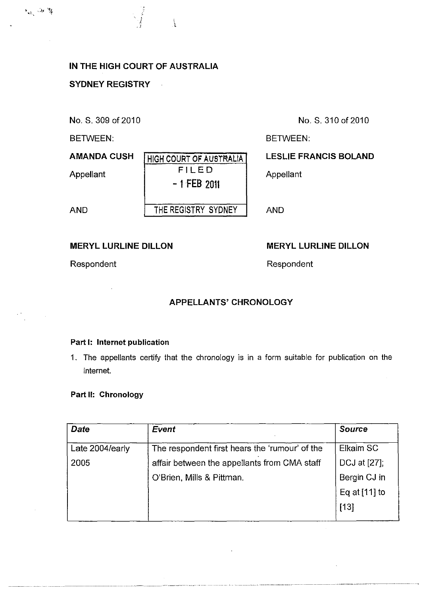# IN THE HIGH COURT OF AUSTRALIA

l.

 $\vec{i}$ 1

#### SYDNEY REGISTRY

No. S. 309 of 2010

BETWEEN:

**AMANDA CUSH** 

Appellant

AND

# **HIGH COURT OF AUSTRALIA** FILED - 1 FEB 2011 THE REGISTRY SYDNEY

No. S. 310 of 2010

BETWEEN:

## LESLlE FRANCIS BOLAND

Appellant

AND

#### MERYL LURLlNE DILLON

Respondent

Respondent

MERYL LURLlNE DlLLON

- ,- -------\_. ---- ".\_"------\_.\_-- ---- - ---------- ---\_.\_----\_ .. - ------~---- -- ---

## APPELLANTS' CHRONOLOGY

#### Part I: Internet publication

1. The appellants certify that the chronology is in a form suitable for publication on the internet.

#### Part II: Chronology

| <b>Date</b>     | <b>Event</b>                                   | <b>Source</b>   |
|-----------------|------------------------------------------------|-----------------|
| Late 2004/early | The respondent first hears the 'rumour' of the | Elkaim SC       |
| 2005            | affair between the appellants from CMA staff   | DCJ at [27];    |
|                 | O'Brien, Mills & Pittman.                      | Bergin CJ in    |
|                 |                                                | Eq at $[11]$ to |
|                 |                                                | $[13]$          |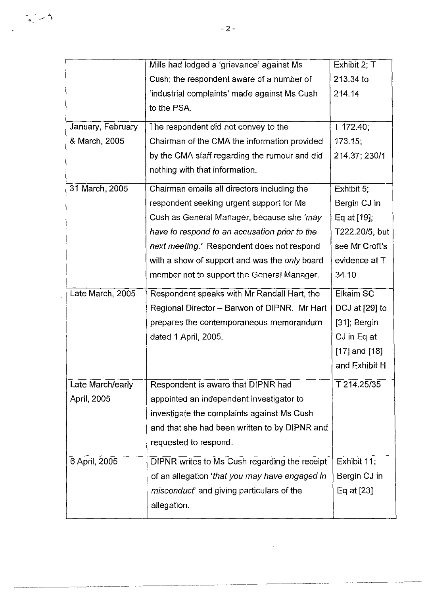|                   | Mills had lodged a 'grievance' against Ms       | Exhibit 2; T      |
|-------------------|-------------------------------------------------|-------------------|
|                   | Cush; the respondent aware of a number of       | 213.34 to         |
|                   | 'industrial complaints' made against Ms Cush    | 214.14            |
|                   | to the PSA.                                     |                   |
| January, February | The respondent did not convey to the            | T 172.40;         |
| & March, 2005     | Chairman of the CMA the information provided    | 173.15,           |
|                   | by the CMA staff regarding the rumour and did   | 214.37; 230/1     |
|                   | nothing with that information.                  |                   |
| 31 March, 2005    | Chairman emails all directors including the     | Exhibit 5:        |
|                   | respondent seeking urgent support for Ms        | Bergin CJ in      |
|                   | Cush as General Manager, because she 'may       | Eq at [19];       |
|                   | have to respond to an accusation prior to the   | T222.20/5, but    |
|                   | next meeting.' Respondent does not respond      | see Mr Croft's    |
|                   | with a show of support and was the only board   | evidence at T     |
|                   | member not to support the General Manager.      | 34.10             |
| Late March, 2005  | Respondent speaks with Mr Randall Hart, the     | Elkaim SC         |
|                   |                                                 |                   |
|                   | Regional Director - Barwon of DIPNR. Mr Hart    | DCJ at [29] to    |
|                   | prepares the contemporaneous memorandum         | $[31]$ ; Bergin   |
|                   | dated 1 April, 2005.                            | CJ in Eq at       |
|                   |                                                 | $[17]$ and $[18]$ |
|                   |                                                 | and Exhibit H     |
| Late March/early  | Respondent is aware that DIPNR had              | T 214.25/35       |
| April, 2005       | appointed an independent investigator to        |                   |
|                   | investigate the complaints against Ms Cush      |                   |
|                   | and that she had been written to by DIPNR and   |                   |
|                   | requested to respond.                           |                   |
| 6 April, 2005     | DIPNR writes to Ms Cush regarding the receipt   | Exhibit 11;       |
|                   | of an allegation 'that you may have engaged in  | Bergin CJ in      |
|                   | <i>misconduct</i> and giving particulars of the | Eq at [23]        |
|                   | allegation.                                     |                   |

---------------------------- -----------

 $\frac{1}{\alpha_{\rm s}} \rightarrow \frac{4}{\beta}$ 

l.